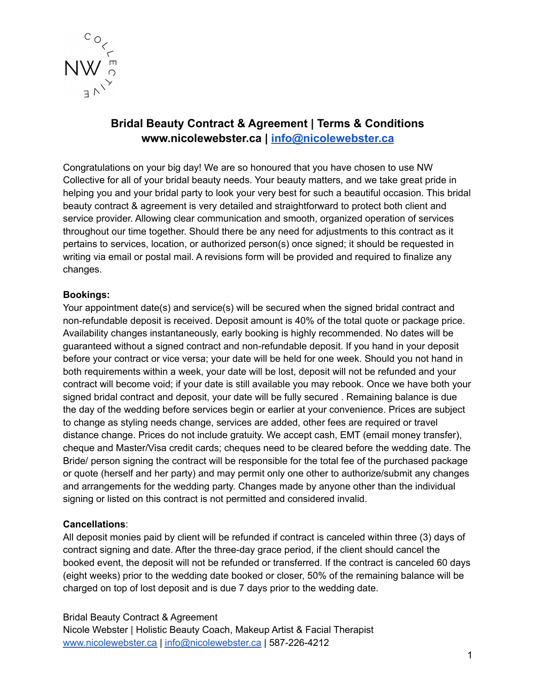

# **Bridal Beauty Contract & Agreement | Terms & Conditions www.nicolewebster.ca | [info@nicolewebster.ca](mailto:info@nicolewebster.ca)**

Congratulations on your big day! We are so honoured that you have chosen to use NW Collective for all of your bridal beauty needs. Your beauty matters, and we take great pride in helping you and your bridal party to look your very best for such a beautiful occasion. This bridal beauty contract & agreement is very detailed and straightforward to protect both client and service provider. Allowing clear communication and smooth, organized operation of services throughout our time together. Should there be any need for adjustments to this contract as it pertains to services, location, or authorized person(s) once signed; it should be requested in writing via email or postal mail. A revisions form will be provided and required to finalize any changes.

# **Bookings:**

Your appointment date(s) and service(s) will be secured when the signed bridal contract and non-refundable deposit is received. Deposit amount is 40% of the total quote or package price. Availability changes instantaneously, early booking is highly recommended. No dates will be guaranteed without a signed contract and non-refundable deposit. If you hand in your deposit before your contract or vice versa; your date will be held for one week. Should you not hand in both requirements within a week, your date will be lost, deposit will not be refunded and your contract will become void; if your date is still available you may rebook. Once we have both your signed bridal contract and deposit, your date will be fully secured . Remaining balance is due the day of the wedding before services begin or earlier at your convenience. Prices are subject to change as styling needs change, services are added, other fees are required or travel distance change. Prices do not include gratuity. We accept cash, EMT (email money transfer), cheque and Master/Visa credit cards; cheques need to be cleared before the wedding date. The Bride/ person signing the contract will be responsible for the total fee of the purchased package or quote (herself and her party) and may permit only one other to authorize/submit any changes and arrangements for the wedding party. Changes made by anyone other than the individual signing or listed on this contract is not permitted and considered invalid.

#### **Cancellations**:

All deposit monies paid by client will be refunded if contract is canceled within three (3) days of contract signing and date. After the three-day grace period, if the client should cancel the booked event, the deposit will not be refunded or transferred. If the contract is canceled 60 days (eight weeks) prior to the wedding date booked or closer, 50% of the remaining balance will be charged on top of lost deposit and is due 7 days prior to the wedding date.

#### Bridal Beauty Contract & Agreement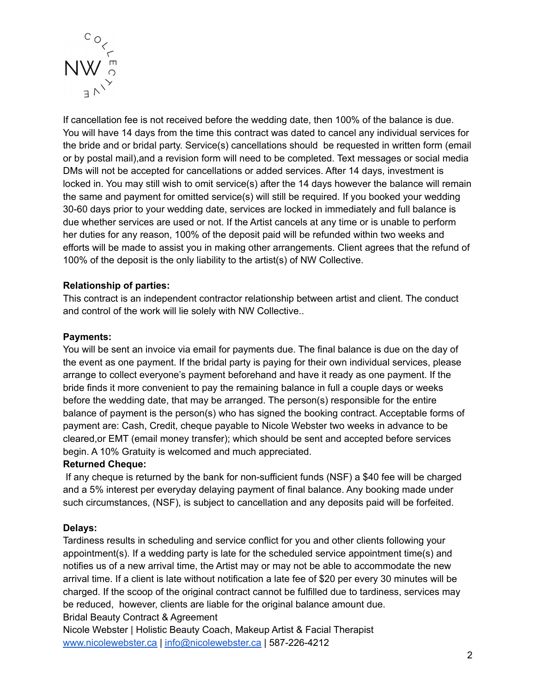

If cancellation fee is not received before the wedding date, then 100% of the balance is due. You will have 14 days from the time this contract was dated to cancel any individual services for the bride and or bridal party. Service(s) cancellations should be requested in written form (email or by postal mail),and a revision form will need to be completed. Text messages or social media DMs will not be accepted for cancellations or added services. After 14 days, investment is locked in. You may still wish to omit service(s) after the 14 days however the balance will remain the same and payment for omitted service(s) will still be required. If you booked your wedding 30-60 days prior to your wedding date, services are locked in immediately and full balance is due whether services are used or not. If the Artist cancels at any time or is unable to perform her duties for any reason, 100% of the deposit paid will be refunded within two weeks and efforts will be made to assist you in making other arrangements. Client agrees that the refund of 100% of the deposit is the only liability to the artist(s) of NW Collective.

# **Relationship of parties:**

This contract is an independent contractor relationship between artist and client. The conduct and control of the work will lie solely with NW Collective..

#### **Payments:**

You will be sent an invoice via email for payments due. The final balance is due on the day of the event as one payment. If the bridal party is paying for their own individual services, please arrange to collect everyone's payment beforehand and have it ready as one payment. If the bride finds it more convenient to pay the remaining balance in full a couple days or weeks before the wedding date, that may be arranged. The person(s) responsible for the entire balance of payment is the person(s) who has signed the booking contract. Acceptable forms of payment are: Cash, Credit, cheque payable to Nicole Webster two weeks in advance to be cleared,or EMT (email money transfer); which should be sent and accepted before services begin. A 10% Gratuity is welcomed and much appreciated.

#### **Returned Cheque:**

If any cheque is returned by the bank for non-sufficient funds (NSF) a \$40 fee will be charged and a 5% interest per everyday delaying payment of final balance. Any booking made under such circumstances, (NSF), is subject to cancellation and any deposits paid will be forfeited.

#### **Delays:**

Tardiness results in scheduling and service conflict for you and other clients following your appointment(s). If a wedding party is late for the scheduled service appointment time(s) and notifies us of a new arrival time, the Artist may or may not be able to accommodate the new arrival time. If a client is late without notification a late fee of \$20 per every 30 minutes will be charged. If the scoop of the original contract cannot be fulfilled due to tardiness, services may be reduced, however, clients are liable for the original balance amount due. Bridal Beauty Contract & Agreement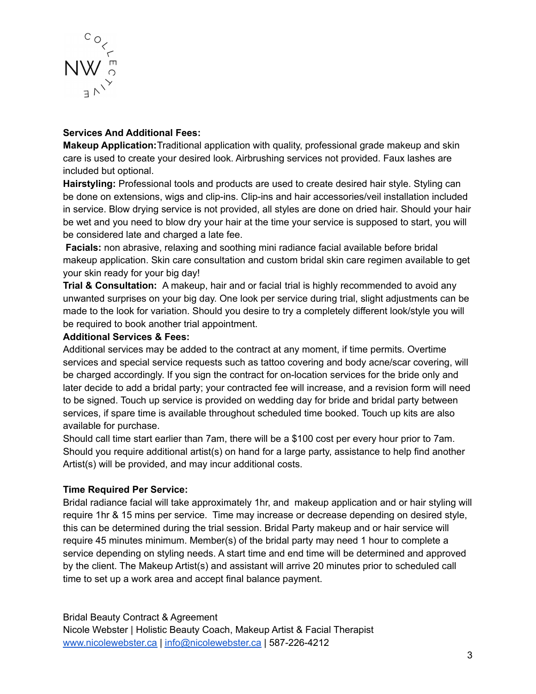

# **Services And Additional Fees:**

**Makeup Application:**Traditional application with quality, professional grade makeup and skin care is used to create your desired look. Airbrushing services not provided. Faux lashes are included but optional.

**Hairstyling:** Professional tools and products are used to create desired hair style. Styling can be done on extensions, wigs and clip-ins. Clip-ins and hair accessories/veil installation included in service. Blow drying service is not provided, all styles are done on dried hair. Should your hair be wet and you need to blow dry your hair at the time your service is supposed to start, you will be considered late and charged a late fee.

**Facials:** non abrasive, relaxing and soothing mini radiance facial available before bridal makeup application. Skin care consultation and custom bridal skin care regimen available to get your skin ready for your big day!

**Trial & Consultation:** A makeup, hair and or facial trial is highly recommended to avoid any unwanted surprises on your big day. One look per service during trial, slight adjustments can be made to the look for variation. Should you desire to try a completely different look/style you will be required to book another trial appointment.

# **Additional Services & Fees:**

Additional services may be added to the contract at any moment, if time permits. Overtime services and special service requests such as tattoo covering and body acne/scar covering, will be charged accordingly. If you sign the contract for on-location services for the bride only and later decide to add a bridal party; your contracted fee will increase, and a revision form will need to be signed. Touch up service is provided on wedding day for bride and bridal party between services, if spare time is available throughout scheduled time booked. Touch up kits are also available for purchase.

Should call time start earlier than 7am, there will be a \$100 cost per every hour prior to 7am. Should you require additional artist(s) on hand for a large party, assistance to help find another Artist(s) will be provided, and may incur additional costs.

# **Time Required Per Service:**

Bridal radiance facial will take approximately 1hr, and makeup application and or hair styling will require 1hr & 15 mins per service. Time may increase or decrease depending on desired style, this can be determined during the trial session. Bridal Party makeup and or hair service will require 45 minutes minimum. Member(s) of the bridal party may need 1 hour to complete a service depending on styling needs. A start time and end time will be determined and approved by the client. The Makeup Artist(s) and assistant will arrive 20 minutes prior to scheduled call time to set up a work area and accept final balance payment.

Bridal Beauty Contract & Agreement Nicole Webster | Holistic Beauty Coach, Makeup Artist & Facial Therapist [www.nicolewebster.ca](http://www.nicolewebster.ca) | [info@nicolewebster.ca](mailto:info@nicolewebster.ca) | 587-226-4212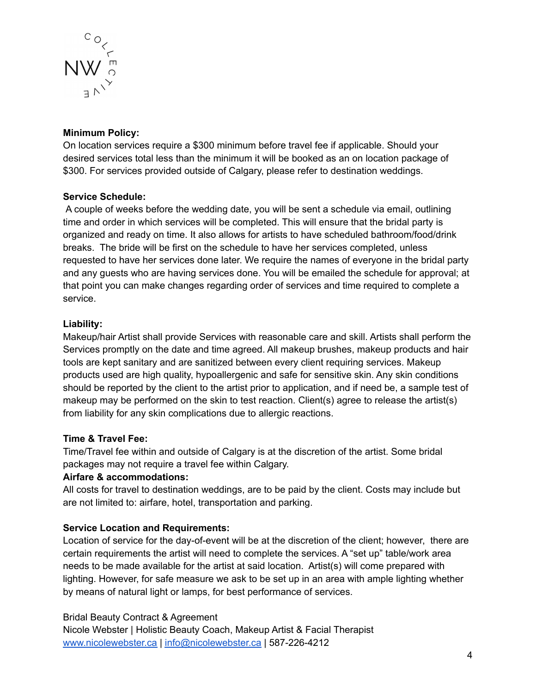

# **Minimum Policy:**

On location services require a \$300 minimum before travel fee if applicable. Should your desired services total less than the minimum it will be booked as an on location package of \$300. For services provided outside of Calgary, please refer to destination weddings.

# **Service Schedule:**

A couple of weeks before the wedding date, you will be sent a schedule via email, outlining time and order in which services will be completed. This will ensure that the bridal party is organized and ready on time. It also allows for artists to have scheduled bathroom/food/drink breaks. The bride will be first on the schedule to have her services completed, unless requested to have her services done later. We require the names of everyone in the bridal party and any guests who are having services done. You will be emailed the schedule for approval; at that point you can make changes regarding order of services and time required to complete a service.

# **Liability:**

Makeup/hair Artist shall provide Services with reasonable care and skill. Artists shall perform the Services promptly on the date and time agreed. All makeup brushes, makeup products and hair tools are kept sanitary and are sanitized between every client requiring services. Makeup products used are high quality, hypoallergenic and safe for sensitive skin. Any skin conditions should be reported by the client to the artist prior to application, and if need be, a sample test of makeup may be performed on the skin to test reaction. Client(s) agree to release the artist(s) from liability for any skin complications due to allergic reactions.

#### **Time & Travel Fee:**

Time/Travel fee within and outside of Calgary is at the discretion of the artist. Some bridal packages may not require a travel fee within Calgary.

#### **Airfare & accommodations:**

All costs for travel to destination weddings, are to be paid by the client. Costs may include but are not limited to: airfare, hotel, transportation and parking.

# **Service Location and Requirements:**

Location of service for the day-of-event will be at the discretion of the client; however, there are certain requirements the artist will need to complete the services. A "set up" table/work area needs to be made available for the artist at said location. Artist(s) will come prepared with lighting. However, for safe measure we ask to be set up in an area with ample lighting whether by means of natural light or lamps, for best performance of services.

# Bridal Beauty Contract & Agreement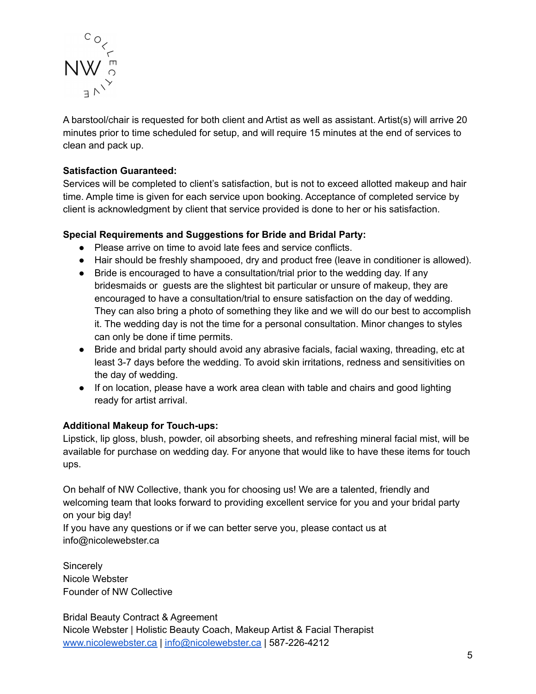

A barstool/chair is requested for both client and Artist as well as assistant. Artist(s) will arrive 20 minutes prior to time scheduled for setup, and will require 15 minutes at the end of services to clean and pack up.

# **Satisfaction Guaranteed:**

Services will be completed to client's satisfaction, but is not to exceed allotted makeup and hair time. Ample time is given for each service upon booking. Acceptance of completed service by client is acknowledgment by client that service provided is done to her or his satisfaction.

# **Special Requirements and Suggestions for Bride and Bridal Party:**

- Please arrive on time to avoid late fees and service conflicts.
- Hair should be freshly shampooed, dry and product free (leave in conditioner is allowed).
- Bride is encouraged to have a consultation/trial prior to the wedding day. If any bridesmaids or guests are the slightest bit particular or unsure of makeup, they are encouraged to have a consultation/trial to ensure satisfaction on the day of wedding. They can also bring a photo of something they like and we will do our best to accomplish it. The wedding day is not the time for a personal consultation. Minor changes to styles can only be done if time permits.
- Bride and bridal party should avoid any abrasive facials, facial waxing, threading, etc at least 3-7 days before the wedding. To avoid skin irritations, redness and sensitivities on the day of wedding.
- If on location, please have a work area clean with table and chairs and good lighting ready for artist arrival.

#### **Additional Makeup for Touch-ups:**

Lipstick, lip gloss, blush, powder, oil absorbing sheets, and refreshing mineral facial mist, will be available for purchase on wedding day. For anyone that would like to have these items for touch ups.

On behalf of NW Collective, thank you for choosing us! We are a talented, friendly and welcoming team that looks forward to providing excellent service for you and your bridal party on your big day!

If you have any questions or if we can better serve you, please contact us at info@nicolewebster.ca

**Sincerely** Nicole Webster Founder of NW Collective

Bridal Beauty Contract & Agreement Nicole Webster | Holistic Beauty Coach, Makeup Artist & Facial Therapist [www.nicolewebster.ca](http://www.nicolewebster.ca) | [info@nicolewebster.ca](mailto:info@nicolewebster.ca) | 587-226-4212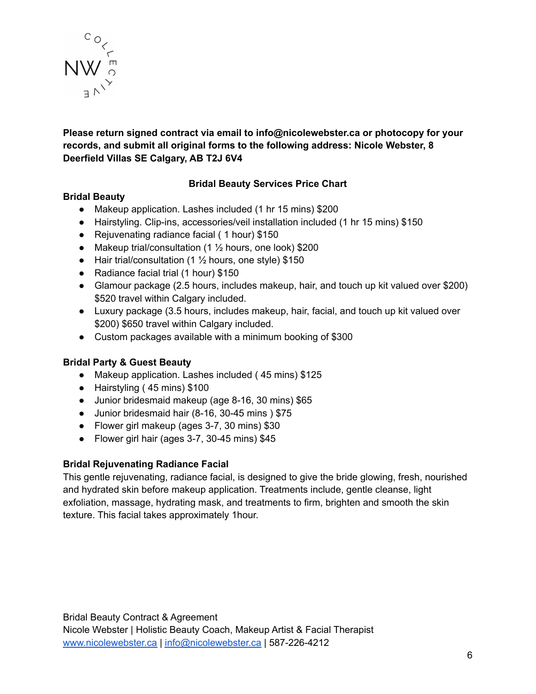

# **Please return signed contract via email to info@nicolewebster.ca or photocopy for your records, and submit all original forms to the following address: Nicole Webster, 8 Deerfield Villas SE Calgary, AB T2J 6V4**

# **Bridal Beauty Services Price Chart**

# **Bridal Beauty**

- Makeup application. Lashes included (1 hr 15 mins) \$200
- Hairstyling. Clip-ins, accessories/veil installation included (1 hr 15 mins) \$150
- Rejuvenating radiance facial ( 1 hour) \$150
- Makeup trial/consultation  $(1 \frac{1}{2})$  hours, one look) \$200
- Hair trial/consultation (1  $\frac{1}{2}$  hours, one style) \$150
- Radiance facial trial (1 hour) \$150
- Glamour package (2.5 hours, includes makeup, hair, and touch up kit valued over \$200) \$520 travel within Calgary included.
- Luxury package (3.5 hours, includes makeup, hair, facial, and touch up kit valued over \$200) \$650 travel within Calgary included.
- Custom packages available with a minimum booking of \$300

# **Bridal Party & Guest Beauty**

- Makeup application. Lashes included ( 45 mins) \$125
- Hairstyling ( 45 mins) \$100
- Junior bridesmaid makeup (age 8-16, 30 mins) \$65
- Junior bridesmaid hair (8-16, 30-45 mins ) \$75
- Flower girl makeup (ages 3-7, 30 mins) \$30
- Flower girl hair (ages 3-7, 30-45 mins) \$45

# **Bridal Rejuvenating Radiance Facial**

This gentle rejuvenating, radiance facial, is designed to give the bride glowing, fresh, nourished and hydrated skin before makeup application. Treatments include, gentle cleanse, light exfoliation, massage, hydrating mask, and treatments to firm, brighten and smooth the skin texture. This facial takes approximately 1hour.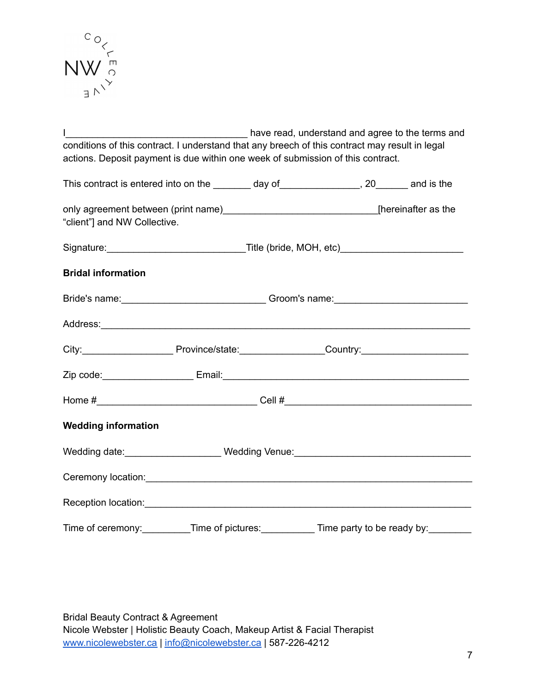

I\_\_\_\_\_\_\_\_\_\_\_\_\_\_\_\_\_\_\_\_\_\_\_\_\_\_\_\_\_\_\_\_\_\_ have read, understand and agree to the terms and conditions of this contract. I understand that any breech of this contract may result in legal actions. Deposit payment is due within one week of submission of this contract. This contract is entered into on the day of the set of the set of the set of the set of the set of the set of the set of the set of the set of the set of the set of the set of the set of the set of the set of the set of th only agreement between (print name)\_\_\_\_\_\_\_\_\_\_\_\_\_\_\_\_\_\_\_\_\_\_\_\_\_\_\_\_\_\_\_\_\_\_[hereinafter as the "client"] and NW Collective. Signature:\_\_\_\_\_\_\_\_\_\_\_\_\_\_\_\_\_\_\_\_\_\_\_\_\_\_Title (bride, MOH, etc)\_\_\_\_\_\_\_\_\_\_\_\_\_\_\_\_\_\_\_\_\_\_\_ **Bridal information** Bride's name:\_\_\_\_\_\_\_\_\_\_\_\_\_\_\_\_\_\_\_\_\_\_\_\_\_\_\_ Groom's name:\_\_\_\_\_\_\_\_\_\_\_\_\_\_\_\_\_\_\_\_\_\_\_\_\_ Address:\_\_\_\_\_\_\_\_\_\_\_\_\_\_\_\_\_\_\_\_\_\_\_\_\_\_\_\_\_\_\_\_\_\_\_\_\_\_\_\_\_\_\_\_\_\_\_\_\_\_\_\_\_\_\_\_\_\_\_\_\_\_\_\_\_\_\_\_\_ City:\_\_\_\_\_\_\_\_\_\_\_\_\_\_\_\_\_\_\_\_\_\_\_\_\_\_\_Province/state:\_\_\_\_\_\_\_\_\_\_\_\_\_\_\_\_\_\_\_\_Country:\_\_\_\_\_\_\_\_\_\_\_\_\_\_\_\_\_\_\_\_\_\_\_\_\_ Zip code:\_\_\_\_\_\_\_\_\_\_\_\_\_\_\_\_\_ Email:\_\_\_\_\_\_\_\_\_\_\_\_\_\_\_\_\_\_\_\_\_\_\_\_\_\_\_\_\_\_\_\_\_\_\_\_\_\_\_\_\_\_\_\_\_\_ Home  $\#_{\square}$   $\blacksquare$   $\blacksquare$   $\blacksquare$   $\blacksquare$   $\blacksquare$   $\blacksquare$   $\blacksquare$   $\blacksquare$   $\blacksquare$   $\blacksquare$   $\blacksquare$   $\blacksquare$   $\blacksquare$   $\blacksquare$   $\blacksquare$   $\blacksquare$   $\blacksquare$   $\blacksquare$   $\blacksquare$   $\blacksquare$   $\blacksquare$   $\blacksquare$   $\blacksquare$   $\blacksquare$   $\blacksquare$   $\blacksquare$   $\blacksquare$   $\blacksquare$   $\blacksquare$   $\blacks$ **Wedding information** Wedding date: \_\_\_\_\_\_\_\_\_\_\_\_\_\_\_\_\_\_\_\_\_ Wedding Venue: \_\_\_\_\_\_\_\_\_\_\_\_\_\_\_\_\_\_\_\_\_\_\_\_\_\_\_\_\_ Ceremony location: example of the state of the state of the state of the state of the state of the state of the state of the state of the state of the state of the state of the state of the state of the state of the state Reception location:\_\_\_\_\_\_\_\_\_\_\_\_\_\_\_\_\_\_\_\_\_\_\_\_\_\_\_\_\_\_\_\_\_\_\_\_\_\_\_\_\_\_\_\_\_\_\_\_\_\_\_\_\_\_\_\_\_\_\_\_\_ Time of ceremony: Time of pictures: Time party to be ready by:

Bridal Beauty Contract & Agreement Nicole Webster | Holistic Beauty Coach, Makeup Artist & Facial Therapist [www.nicolewebster.ca](http://www.nicolewebster.ca) | [info@nicolewebster.ca](mailto:info@nicolewebster.ca) | 587-226-4212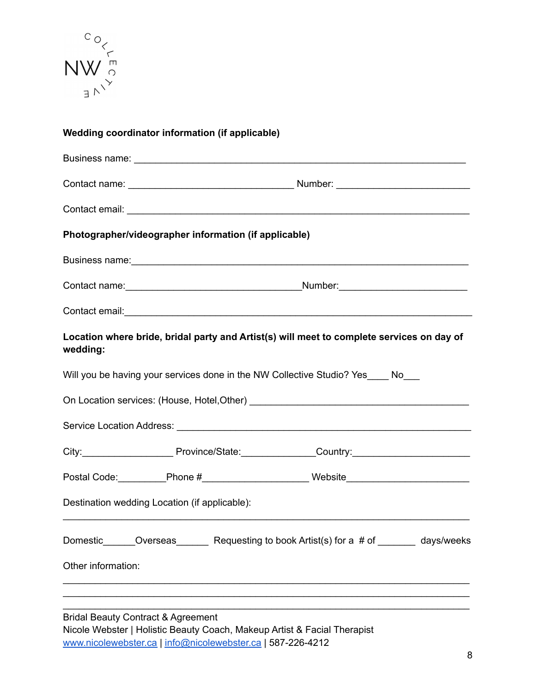

|                    | Wedding coordinator information (if applicable)       |  |                                                                                                                                                                                                                                     |  |
|--------------------|-------------------------------------------------------|--|-------------------------------------------------------------------------------------------------------------------------------------------------------------------------------------------------------------------------------------|--|
|                    |                                                       |  |                                                                                                                                                                                                                                     |  |
|                    |                                                       |  |                                                                                                                                                                                                                                     |  |
|                    |                                                       |  |                                                                                                                                                                                                                                     |  |
|                    | Photographer/videographer information (if applicable) |  |                                                                                                                                                                                                                                     |  |
|                    |                                                       |  | Business name: <b>Example 2018</b> and 2018 and 2019 and 2019 and 2019 and 2019 and 2019 and 2019 and 2019 and 2019 and 2019 and 2019 and 2019 and 2019 and 2019 and 2019 and 2019 and 2019 and 2019 and 2019 and 2019 and 2019 and |  |
|                    |                                                       |  |                                                                                                                                                                                                                                     |  |
|                    |                                                       |  |                                                                                                                                                                                                                                     |  |
| wedding:           |                                                       |  | Location where bride, bridal party and Artist(s) will meet to complete services on day of                                                                                                                                           |  |
|                    |                                                       |  | Will you be having your services done in the NW Collective Studio? Yes____ No___                                                                                                                                                    |  |
|                    |                                                       |  |                                                                                                                                                                                                                                     |  |
|                    |                                                       |  |                                                                                                                                                                                                                                     |  |
|                    |                                                       |  | City:____________________________Province/State:_________________Country:__________________________                                                                                                                                 |  |
|                    |                                                       |  |                                                                                                                                                                                                                                     |  |
|                    | Destination wedding Location (if applicable):         |  |                                                                                                                                                                                                                                     |  |
|                    |                                                       |  | Domestic_______Overseas_________Requesting to book Artist(s) for a # of _________ days/weeks                                                                                                                                        |  |
| Other information: |                                                       |  |                                                                                                                                                                                                                                     |  |
|                    |                                                       |  |                                                                                                                                                                                                                                     |  |
|                    | $\overline{\phantom{a}}$                              |  |                                                                                                                                                                                                                                     |  |

Bridal Beauty Contract & Agreement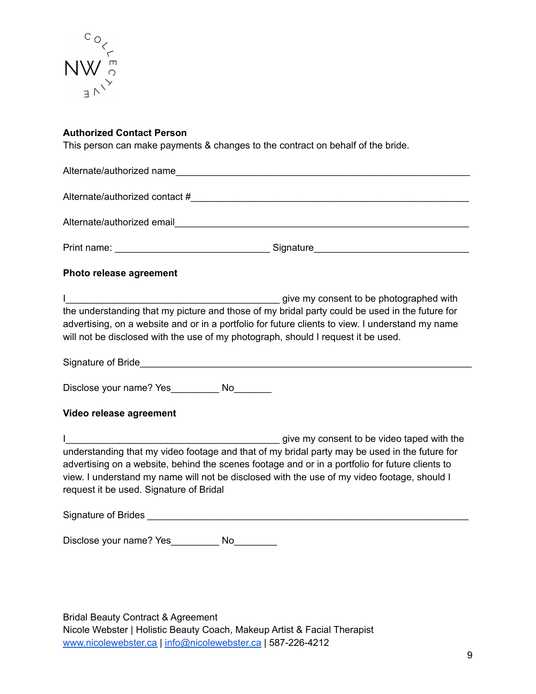

#### **Authorized Contact Person**

This person can make payments & changes to the contract on behalf of the bride.

Alternate/authorized name Alternate/authorized contact #\_\_\_\_\_\_\_\_\_\_\_\_\_\_\_\_\_\_\_\_\_\_\_\_\_\_\_\_\_\_\_\_\_\_\_\_\_\_\_\_\_\_\_\_\_\_\_\_\_\_\_\_ Alternate/authorized email Print name: \_\_\_\_\_\_\_\_\_\_\_\_\_\_\_\_\_\_\_\_\_\_\_\_\_\_\_\_\_ Signature\_\_\_\_\_\_\_\_\_\_\_\_\_\_\_\_\_\_\_\_\_\_\_\_\_\_\_\_\_ **Photo release agreement** I\_\_\_\_\_\_\_\_\_\_\_\_\_\_\_\_\_\_\_\_\_\_\_\_\_\_\_\_\_\_\_\_\_\_\_\_\_\_\_\_ give my consent to be photographed with the understanding that my picture and those of my bridal party could be used in the future for advertising, on a website and or in a portfolio for future clients to view. I understand my name will not be disclosed with the use of my photograph, should I request it be used. Signature of Bride Disclose your name? Yes No **Video release agreement** I\_\_\_\_\_\_\_\_\_\_\_\_\_\_\_\_\_\_\_\_\_\_\_\_\_\_\_\_\_\_\_\_\_\_\_\_\_\_\_\_ give my consent to be video taped with the understanding that my video footage and that of my bridal party may be used in the future for advertising on a website, behind the scenes footage and or in a portfolio for future clients to view. I understand my name will not be disclosed with the use of my video footage, should I request it be used. Signature of Bridal Signature of Brides **Executive Systems** and the set of  $\theta$ Disclose your name? Yes Mo